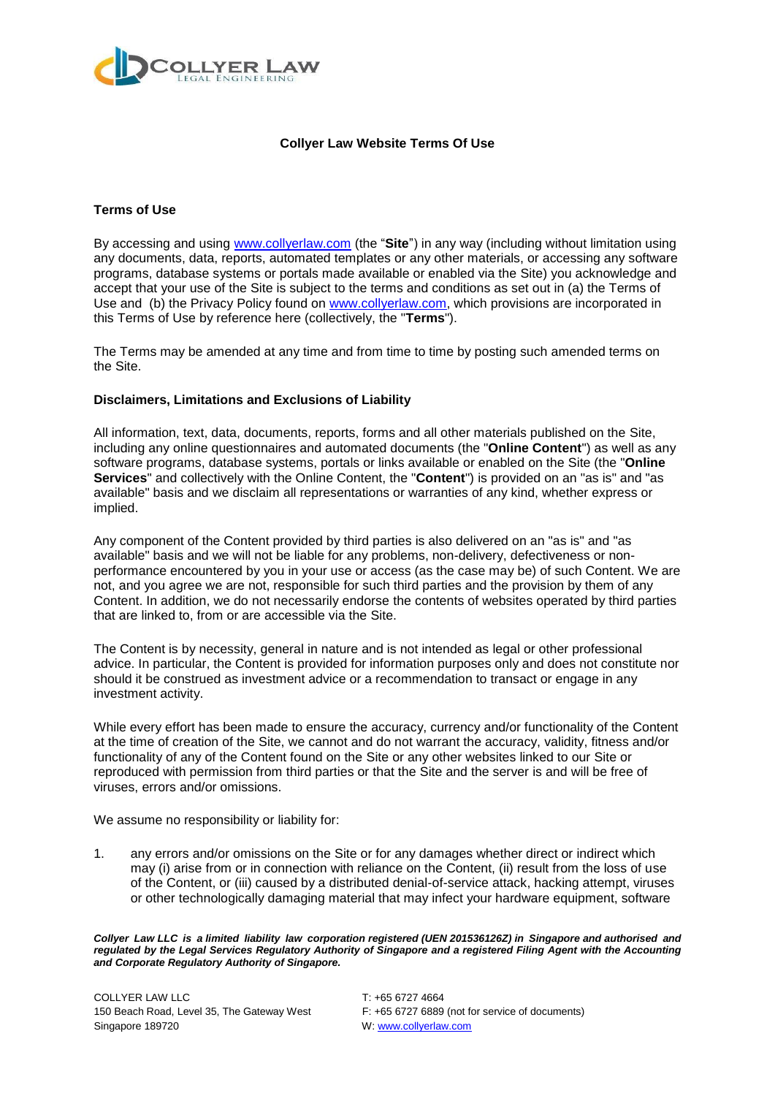

# **Collyer Law Website Terms Of Use**

# **Terms of Use**

By accessing and using [www.collyerlaw.com](http://www.collyerlaw.com/) (the "**Site**") in any way (including without limitation using any documents, data, reports, automated templates or any other materials, or accessing any software programs, database systems or portals made available or enabled via the Site) you acknowledge and accept that your use of the Site is subject to the terms and conditions as set out in (a) the Terms of Use and (b) the Privacy Policy found on [www.collyerlaw.com,](http://www.collyerlaw.com/) which provisions are incorporated in this Terms of Use by reference here (collectively, the "**Terms**").

The Terms may be amended at any time and from time to time by posting such amended terms on the Site.

### **Disclaimers, Limitations and Exclusions of Liability**

All information, text, data, documents, reports, forms and all other materials published on the Site, including any online questionnaires and automated documents (the "**Online Content**") as well as any software programs, database systems, portals or links available or enabled on the Site (the "**Online Services**" and collectively with the Online Content, the "**Content**") is provided on an "as is" and "as available" basis and we disclaim all representations or warranties of any kind, whether express or implied.

Any component of the Content provided by third parties is also delivered on an "as is" and "as available" basis and we will not be liable for any problems, non-delivery, defectiveness or nonperformance encountered by you in your use or access (as the case may be) of such Content. We are not, and you agree we are not, responsible for such third parties and the provision by them of any Content. In addition, we do not necessarily endorse the contents of websites operated by third parties that are linked to, from or are accessible via the Site.

The Content is by necessity, general in nature and is not intended as legal or other professional advice. In particular, the Content is provided for information purposes only and does not constitute nor should it be construed as investment advice or a recommendation to transact or engage in any investment activity.

While every effort has been made to ensure the accuracy, currency and/or functionality of the Content at the time of creation of the Site, we cannot and do not warrant the accuracy, validity, fitness and/or functionality of any of the Content found on the Site or any other websites linked to our Site or reproduced with permission from third parties or that the Site and the server is and will be free of viruses, errors and/or omissions.

We assume no responsibility or liability for:

1. any errors and/or omissions on the Site or for any damages whether direct or indirect which may (i) arise from or in connection with reliance on the Content, (ii) result from the loss of use of the Content, or (iii) caused by a distributed denial-of-service attack, hacking attempt, viruses or other technologically damaging material that may infect your hardware equipment, software

*Collyer Law LLC is a limited liability law corporation registered (UEN 201536126Z) in Singapore and authorised and regulated by the Legal Services Regulatory Authority of Singapore and a registered Filing Agent with the Accounting and Corporate Regulatory Authority of Singapore.*

150 Beach Road, Level 35, The Gateway West F: +65 6727 6889 (not for service of documents)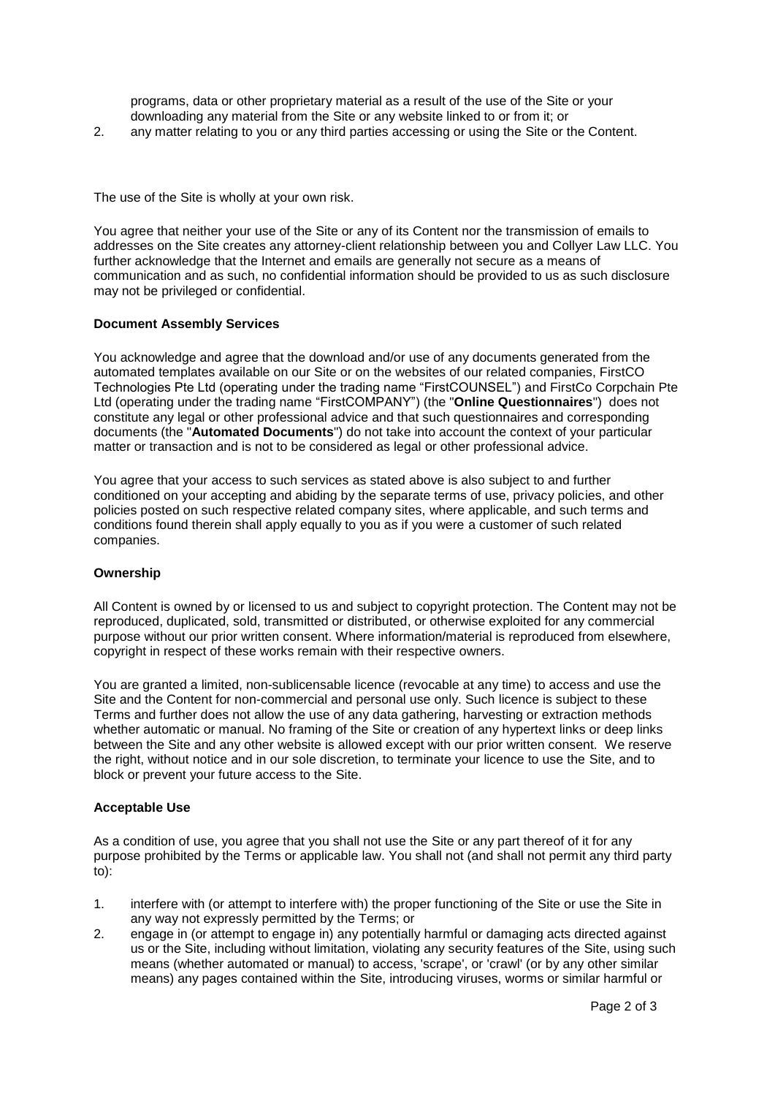programs, data or other proprietary material as a result of the use of the Site or your downloading any material from the Site or any website linked to or from it; or

2. any matter relating to you or any third parties accessing or using the Site or the Content.

The use of the Site is wholly at your own risk.

You agree that neither your use of the Site or any of its Content nor the transmission of emails to addresses on the Site creates any attorney-client relationship between you and Collyer Law LLC. You further acknowledge that the Internet and emails are generally not secure as a means of communication and as such, no confidential information should be provided to us as such disclosure may not be privileged or confidential.

### **Document Assembly Services**

You acknowledge and agree that the download and/or use of any documents generated from the automated templates available on our Site or on the websites of our related companies, FirstCO Technologies Pte Ltd (operating under the trading name "FirstCOUNSEL") and FirstCo Corpchain Pte Ltd (operating under the trading name "FirstCOMPANY") (the "**Online Questionnaires**") does not constitute any legal or other professional advice and that such questionnaires and corresponding documents (the "**Automated Documents**") do not take into account the context of your particular matter or transaction and is not to be considered as legal or other professional advice.

You agree that your access to such services as stated above is also subject to and further conditioned on your accepting and abiding by the separate terms of use, privacy policies, and other policies posted on such respective related company sites, where applicable, and such terms and conditions found therein shall apply equally to you as if you were a customer of such related companies.

#### **Ownership**

All Content is owned by or licensed to us and subject to copyright protection. The Content may not be reproduced, duplicated, sold, transmitted or distributed, or otherwise exploited for any commercial purpose without our prior written consent. Where information/material is reproduced from elsewhere, copyright in respect of these works remain with their respective owners.

You are granted a limited, non-sublicensable licence (revocable at any time) to access and use the Site and the Content for non-commercial and personal use only. Such licence is subject to these Terms and further does not allow the use of any data gathering, harvesting or extraction methods whether automatic or manual. No framing of the Site or creation of any hypertext links or deep links between the Site and any other website is allowed except with our prior written consent. We reserve the right, without notice and in our sole discretion, to terminate your licence to use the Site, and to block or prevent your future access to the Site.

#### **Acceptable Use**

As a condition of use, you agree that you shall not use the Site or any part thereof of it for any purpose prohibited by the Terms or applicable law. You shall not (and shall not permit any third party to):

- 1. interfere with (or attempt to interfere with) the proper functioning of the Site or use the Site in any way not expressly permitted by the Terms; or
- 2. engage in (or attempt to engage in) any potentially harmful or damaging acts directed against us or the Site, including without limitation, violating any security features of the Site, using such means (whether automated or manual) to access, 'scrape', or 'crawl' (or by any other similar means) any pages contained within the Site, introducing viruses, worms or similar harmful or